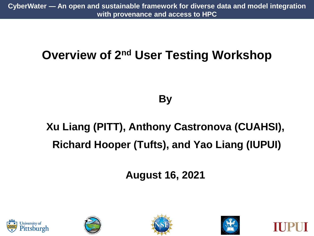### **Overview of 2nd User Testing Workshop**

#### **By**

# **Xu Liang (PITT), Anthony Castronova (CUAHSI), Richard Hooper (Tufts), and Yao Liang (IUPUI)**

**August 16, 2021**









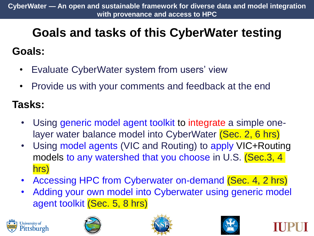# **Goals and tasks of this CyberWater testing Goals:**

- Evaluate CyberWater system from users' view
- Provide us with your comments and feedback at the end

#### **Tasks:**

- Using generic model agent toolkit to integrate a simple onelayer water balance model into CyberWater (Sec. 2, 6 hrs)
- Using model agents (VIC and Routing) to apply VIC+Routing models to any watershed that you choose in U.S. (Sec.3, 4) hrs)
- Accessing HPC from Cyberwater on-demand (Sec. 4, 2 hrs)
- Adding your own model into Cyberwater using generic model agent toolkit (Sec. 5, 8 hrs)







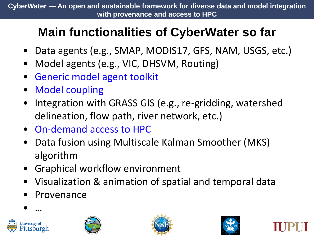## **Main functionalities of CyberWater so far**

- Data agents (e.g., SMAP, MODIS17, GFS, NAM, USGS, etc.)
- Model agents (e.g., VIC, DHSVM, Routing)
- Generic model agent toolkit
- Model coupling
- Integration with GRASS GIS (e.g., re-gridding, watershed delineation, flow path, river network, etc.)
- On-demand access to HPC
- Data fusion using Multiscale Kalman Smoother (MKS) algorithm
- Graphical workflow environment
- Visualization & animation of spatial and temporal data
- **Provenance**



• …





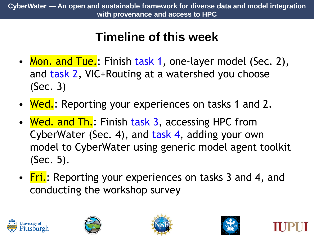### **Timeline of this week**

- Mon. and Tue.: Finish task 1, one-layer model (Sec. 2), and task 2, VIC+Routing at a watershed you choose (Sec. 3)
- Wed.: Reporting your experiences on tasks 1 and 2.
- Wed. and Th.: Finish task 3, accessing HPC from CyberWater (Sec. 4), and task 4, adding your own model to CyberWater using generic model agent toolkit (Sec. 5).
- Fri.: Reporting your experiences on tasks 3 and 4, and conducting the workshop survey









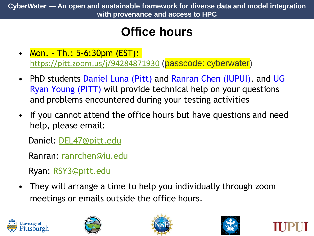# **Office hours**

- Mon. Th.: 5-6:30pm (EST): <https://pitt.zoom.us/j/94284871930> (passcode: cyberwater)
- PhD students Daniel Luna (Pitt) and Ranran Chen (IUPUI), and UG Ryan Young (PITT) will provide technical help on your questions and problems encountered during your testing activities
- If you cannot attend the office hours but have questions and need help, please email:

Daniel: [DEL47@pitt.edu](mailto:DEL47@pitt.edu)

Ranran: [ranrchen@iu.edu](mailto:ranrchen@iu.edu)

Ryan: [RSY3@pitt.edu](mailto:RSY3@pitt.edu)

• They will arrange a time to help you individually through zoom meetings or emails outside the office hours.







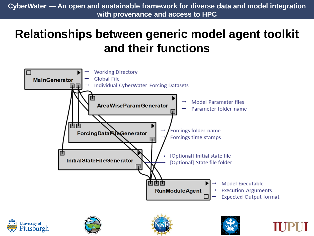#### **Relationships between generic model agent toolkit and their functions**





Pittsburgh



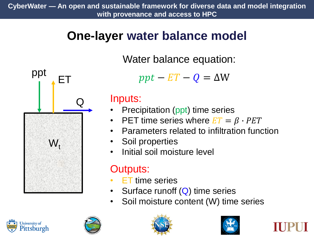#### **One-layer water balance model**



Water balance equation:

 $ppt - ET - Q = \Delta W$ 

#### Inputs:

- **Precipitation (ppt) time series**
- **PET time series where**  $ET = \beta \cdot PET$
- Parameters related to infiltration function
- Soil properties
- Initial soil moisture level

#### Outputs:

- **ET** time series
- Surface runoff  $(Q)$  time series
- Soil moisture content (W) time series







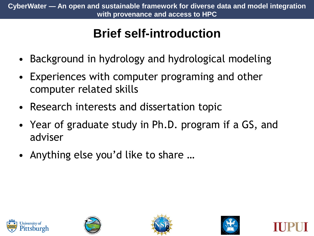# **Brief self-introduction**

- Background in hydrology and hydrological modeling
- Experiences with computer programing and other computer related skills
- Research interests and dissertation topic
- Year of graduate study in Ph.D. program if a GS, and adviser
- Anything else you'd like to share …